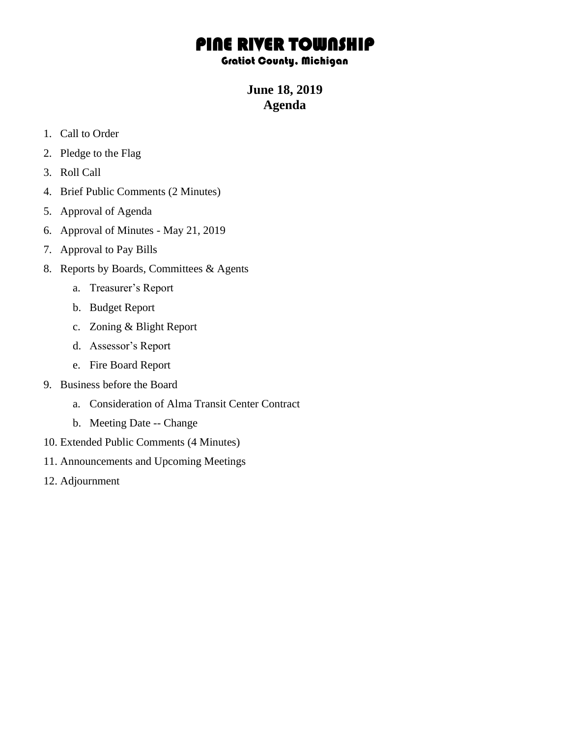## PINE RIVER TOWNSHIP

## Gratiot County, Michigan

**June 18, 2019 Agenda**

- 1. Call to Order
- 2. Pledge to the Flag
- 3. Roll Call
- 4. Brief Public Comments (2 Minutes)
- 5. Approval of Agenda
- 6. Approval of Minutes May 21, 2019
- 7. Approval to Pay Bills
- 8. Reports by Boards, Committees & Agents
	- a. Treasurer's Report
	- b. Budget Report
	- c. Zoning & Blight Report
	- d. Assessor's Report
	- e. Fire Board Report
- 9. Business before the Board
	- a. Consideration of Alma Transit Center Contract
	- b. Meeting Date -- Change
- 10. Extended Public Comments (4 Minutes)
- 11. Announcements and Upcoming Meetings
- 12. Adjournment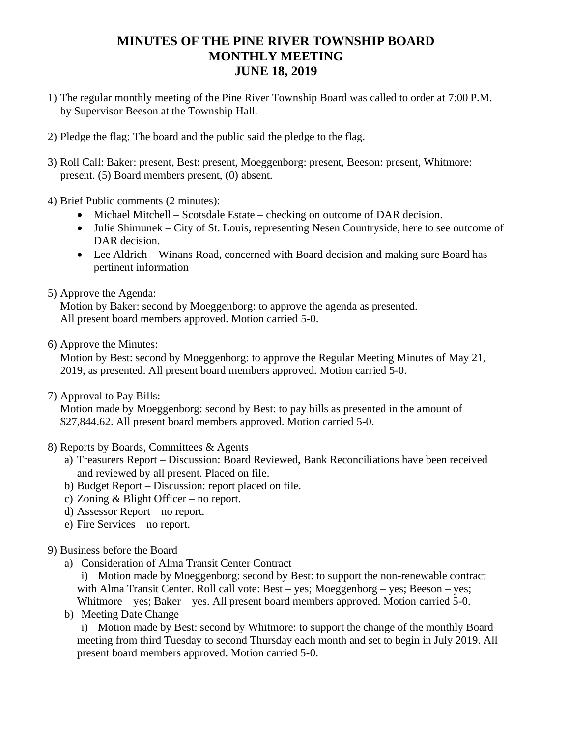## **MINUTES OF THE PINE RIVER TOWNSHIP BOARD MONTHLY MEETING JUNE 18, 2019**

- 1) The regular monthly meeting of the Pine River Township Board was called to order at 7:00 P.M. by Supervisor Beeson at the Township Hall.
- 2) Pledge the flag: The board and the public said the pledge to the flag.
- 3) Roll Call: Baker: present, Best: present, Moeggenborg: present, Beeson: present, Whitmore: present. (5) Board members present, (0) absent.
- 4) Brief Public comments (2 minutes):
	- Michael Mitchell Scotsdale Estate checking on outcome of DAR decision.
	- Julie Shimunek City of St. Louis, representing Nesen Countryside, here to see outcome of DAR decision.
	- Lee Aldrich Winans Road, concerned with Board decision and making sure Board has pertinent information
- 5) Approve the Agenda:

Motion by Baker: second by Moeggenborg: to approve the agenda as presented. All present board members approved. Motion carried 5-0.

6) Approve the Minutes:

Motion by Best: second by Moeggenborg: to approve the Regular Meeting Minutes of May 21, 2019, as presented. All present board members approved. Motion carried 5-0.

7) Approval to Pay Bills:

Motion made by Moeggenborg: second by Best: to pay bills as presented in the amount of \$27,844.62. All present board members approved. Motion carried 5-0.

- 8) Reports by Boards, Committees & Agents
	- a) Treasurers Report Discussion: Board Reviewed, Bank Reconciliations have been received and reviewed by all present. Placed on file.
	- b) Budget Report Discussion: report placed on file.
	- c) Zoning & Blight Officer no report.
	- d) Assessor Report no report.
	- e) Fire Services no report.
- 9) Business before the Board
	- a) Consideration of Alma Transit Center Contract
		- i) Motion made by Moeggenborg: second by Best: to support the non-renewable contract with Alma Transit Center. Roll call vote: Best – yes; Moeggenborg – yes; Beeson – yes; Whitmore – yes; Baker – yes. All present board members approved. Motion carried 5-0.
	- b) Meeting Date Change

i) Motion made by Best: second by Whitmore: to support the change of the monthly Board meeting from third Tuesday to second Thursday each month and set to begin in July 2019. All present board members approved. Motion carried 5-0.